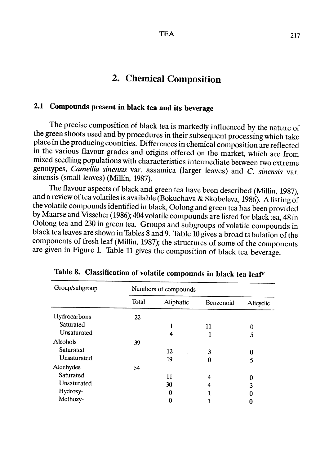## 2. Chemical Composition

# 2.1 Compounds present in black tea and its beverage

The precise composition of black tea is markedly influenced by the nature of the green shoots used and by procedures in their subsequent processing which take place in the producing countries. Differences in chemical composition are reflected in the various flavour grades and origins offered on the market, which are from mixed seedling populations with characteristics intermediate between two extreme genotypes, Camellia sinensis var. assamica (larger leaves) and  $C$ . sinensis var. sinensis (small leaves) (Milin, 1987).

The flavour aspects of black and green tea have been described (Milin, 1987), and a review of tea volatiles is available (Bokuchava & Skobeleva, 1986). A listing of the volatile compounds identified in black, Oolong and green tea has been provided by Maarse and Visscher (1986); 404 volatile compounds are listed for black tea, 48 in Oolong tea and 230 in green tea. Groups and subgroups of volatile compounds in black tea leaves are shown in Tables 8 and 9. Table 10 gives a broad tabulation of the components of fresh leaf (Milin, 1987); the structures of some of the components are given in Figure 1. Table II gives the composition of black tea beverage.

| Group/subgroup | Numbers of compounds |           |           |           |  |  |
|----------------|----------------------|-----------|-----------|-----------|--|--|
|                | Total                | Aliphatic | Benzenoid | Alicyclic |  |  |
| Hydrocarbons   | 22                   |           |           |           |  |  |
| Saturated      |                      |           | 11        | 0         |  |  |
| Unsaturated    |                      | 4         |           | 5         |  |  |
| Alcohols       | 39                   |           |           |           |  |  |
| Saturated      |                      | 12        | 3         |           |  |  |
| Unsaturated    |                      | 19        | 0         | 5         |  |  |
| Aldehydes      | 54                   |           |           |           |  |  |
| Saturated      |                      | 11        | 4         | 0         |  |  |
| Unsaturated    |                      | 30        | 4         | 3         |  |  |
| Hydroxy-       |                      | 0         |           | 0         |  |  |
| Methoxy-       |                      | 0         |           |           |  |  |

Table 8. Classification of volatile compounds in black tea leafa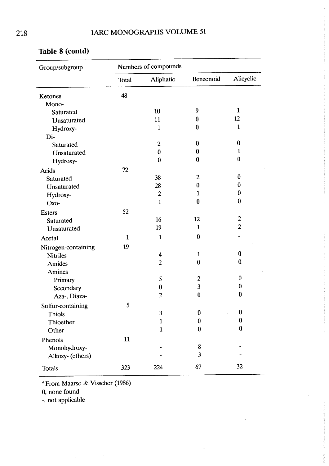| Group/subgroup      |              | Numbers of compounds |                |                |
|---------------------|--------------|----------------------|----------------|----------------|
|                     | Total        | Aliphatic            | Benzenoid      | Alicyclic      |
| Ketones             | 48           |                      |                |                |
| Mono-               |              |                      |                |                |
| Saturated           |              | 10                   | 9              | $\mathbf{1}$   |
| Unsaturated         |              | 11                   | $\bf{0}$       | 12             |
| Hydroxy-            |              | $\mathbf{1}$         | $\bf{0}$       | $\mathbf{1}$   |
| Di-                 |              |                      |                |                |
| Saturated           |              | $\overline{c}$       | $\bf{0}$       | $\bf{0}$       |
| Unsaturated         |              | $\bf{0}$             | $\bf{0}$       | $\mathbf{1}$   |
| Hydroxy-            |              | $\bf{0}$             | $\bf{0}$       | $\bf{0}$       |
| <b>Acids</b>        | 72           |                      |                |                |
| Saturated           |              | 38                   | $\overline{c}$ | $\bf{0}$       |
| Unsaturated         |              | 28                   | $\bf{0}$       | $\bf{0}$       |
| Hydroxy-            |              | $\boldsymbol{2}$     | $\mathbf{1}$   | $\bf{0}$       |
| Oxo-                |              | $\mathbf{1}$         | $\bf{0}$       | $\bf{0}$       |
|                     | 52           |                      |                |                |
| <b>Esters</b>       |              | 16                   | 12             | $\overline{c}$ |
| Saturated           |              | 19                   | $\mathbf{1}$   | $\overline{c}$ |
| Unsaturated         |              |                      |                |                |
| Acetal              | $\mathbf{1}$ | $\mathbf{1}$         | $\bf{0}$       |                |
| Nitrogen-containing | 19           |                      |                |                |
| <b>Nitriles</b>     |              | 4                    | $\mathbf{1}$   | $\bf{0}$       |
| Amides              |              | $\overline{c}$       | $\bf{0}$       | $\mathbf{0}$   |
| Amines              |              |                      |                |                |
| Primary             |              | 5                    | 2              | $\bf{0}$       |
| Secondary           |              | $\bf{0}$             | 3              | $\bf{0}$       |
| Aza-, Diaza-        |              | $\overline{c}$       | $\bf{0}$       | $\bf{0}$       |
| Sulfur-containing   | 5            |                      |                |                |
| Thiols              |              | 3                    | $\bf{0}$       | $\bf{0}$       |
| Thioether           |              | $\mathbf{1}$         | $\bf{0}$       | $\bf{0}$       |
| Other               |              | $\mathbf{1}$         | $\bf{0}$       | $\bf{0}$       |
| Phenols             | 11           |                      |                |                |
| Monohydroxy-        |              |                      | $\bf 8$        |                |
| Alkoxy- (ethers)    |              |                      | $\mathbf{3}$   |                |
|                     |              |                      |                |                |
| Totals              | 323          | 224                  | 67             | 32             |

 $\hat{\boldsymbol{\epsilon}}$ 

 $\bar{z}$ 

## Table 8 (contd)

a From Maarse & Visscher (1986)

0, none found

-, not applicable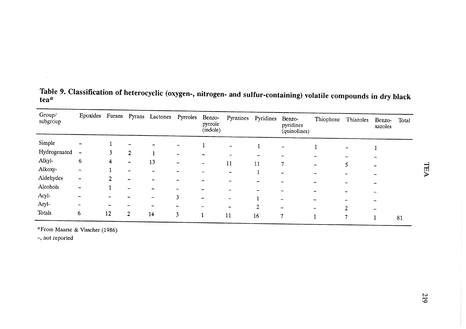| Group/<br>subgroup | Epoxides Furans              |    |                | Pyrans Lactones Pyrroles |                          | Benzo-<br>pyrrole<br>(indole) | Pyrazines                | Pyridines | Benzo-<br>pyridines<br>(quinolines)                  | Thiophene                    | Thiazoles | Benzo-<br>xazoles | Total |
|--------------------|------------------------------|----|----------------|--------------------------|--------------------------|-------------------------------|--------------------------|-----------|------------------------------------------------------|------------------------------|-----------|-------------------|-------|
| Simple             |                              |    |                |                          |                          |                               | $\overline{\phantom{a}}$ |           | $\overline{\phantom{a}}$                             |                              |           |                   |       |
| Hydrogenated       | ł                            |    | $\overline{2}$ |                          | $\overline{\phantom{a}}$ |                               |                          | -         |                                                      |                              |           |                   |       |
| Alkyl-             | 6                            | 4  |                | 13                       | $\overline{\phantom{a}}$ | $\overline{\phantom{a}}$      | 11                       | 11        | 7                                                    |                              |           |                   |       |
| Alkoxy-            | $\qquad \qquad \blacksquare$ |    | $\rightarrow$  |                          |                          |                               | -                        |           | $\overline{\phantom{a}}$                             | $\overline{\phantom{a}}$     | 5         |                   |       |
| Aldehydes          | $\overline{\phantom{a}}$     |    |                |                          | ۰                        |                               |                          |           | ⊷                                                    | $\qquad \qquad \blacksquare$ |           |                   |       |
| Alcohols           | $\qquad \qquad \blacksquare$ |    |                |                          | -                        |                               |                          |           |                                                      |                              |           |                   |       |
| Acyl-              |                              |    |                | $\overline{\phantom{a}}$ | 3                        |                               | ÷                        |           | $\overline{\phantom{a}}$<br>$\overline{\phantom{m}}$ |                              |           |                   |       |
| Aryl-              |                              |    |                |                          | $\blacksquare$           |                               |                          | 2         | $\qquad \qquad \blacksquare$                         |                              |           |                   |       |
| Totals             | 6                            | 12 | $\overline{2}$ | 14                       | 3                        |                               | 11                       | 16        | $\mathcal{L}$                                        |                              | י         |                   | 81    |

Table 9. Classification of heterocyclic (oxygen-, nitrogen- and sulfur-containing) volatile compounds in dry black tea $^{\boldsymbol{a}}$ 

 $\mathcal{L}$ 

a From Maarse & Visscher (1986)

 $\sim$ 

-, not reported

 $\sim$ 

**TEA**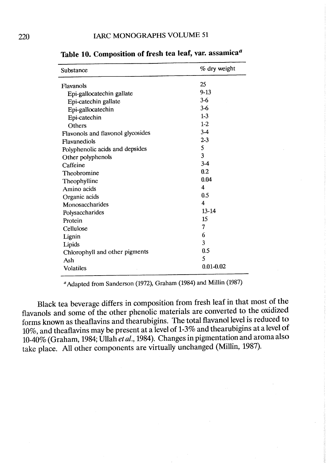| Substance                         | % dry weight            |
|-----------------------------------|-------------------------|
| Flavanols                         | 25                      |
| Epi-gallocatechin gallate         | $9 - 13$                |
| Epi-catechin gallate              | $3 - 6$                 |
| Epi-gallocatechin                 | $3-6$                   |
| Epi-catechin                      | $1-3$                   |
| Others                            | $1-2$                   |
| Flavonols and flavonol glycosides | $3-4$                   |
| Flavanediols                      | $2 - 3$                 |
| Polyphenolic acids and depsides   | 5                       |
| Other polyphenols                 | $\overline{\mathbf{3}}$ |
| Caffeine                          | $3 - 4$                 |
| Theobromine                       | 0.2                     |
| Theophylline                      | 0.04                    |
| Amino acids                       | 4                       |
| Organic acids                     | 0.5                     |
| Monosaccharides                   | $\overline{4}$          |
| Polysaccharides                   | $13 - 14$               |
| Protein                           | 15                      |
| Cellulose                         | 7                       |
| Lignin                            | 6                       |
| Lipids                            | 3                       |
| Chlorophyll and other pigments    | 0.5                     |
| Ash                               | 5                       |
| <b>Volatiles</b>                  | $0.01 - 0.02$           |
|                                   |                         |

Table 10. Composition of fresh tea leaf, var. assamica<sup>a</sup>

<sup>a</sup> Adapted from Sanderson (1972), Graham (1984) and Millin (1987)

Black tea beverage differs in composition from fresh leaf in that most of the flavanols and some of the other phenolic materials are converted to the oxidized forms known as theaflavins and thearubigins. The total flavanol level is reduced to 10%, and theaflavins may be present at a level of 1-3% and thearubigins at a level of 10-40% (Graham, 1984; Ullah et al., 1984). Changes in pigmentation and aroma also take place. All other components are virtually unchanged (Millin, 1987).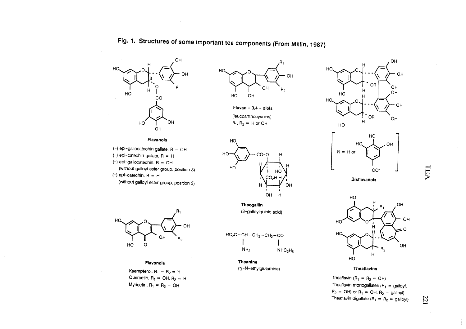



Fig. 1. Structures of sorne important tea components (From Milln, 1987)

Flavan -  $3,4$  - diols (Ieucoanthocyanins) $R_1$ ,  $R_2 = H$  or OH



- $(-)$  epi-gallocatechin gallate, R = OH
- $(-)$  epi-catechin gallate, R = H
- (-) epi-gallocatechin, R = OH
- (witout galloyl ester group, positon 3) $(-)$  epi-catechin,  $R = H$
- (without galloyl ester group, position 3)



#### Flavonols

Kaempterol,  $R_1 = R_2 = H$ Quercetin,  $R_1 = OH$ ,  $R_2 = H$ Myricetin,  $R_1 = R_2 = OH$ 



Theogailin (3-gaJloylquinic acid)

$$
HO2C - CH - CH2-CH2-CO
$$
  
\n
$$
HH2
$$
  
\n
$$
NH2
$$
  
\n
$$
NH2
$$

Theanine (γ-N-ethylglutamine





Bistlavanois



**Theatlavins** 

Theaflavin (R<sub>1</sub> = R<sub>2</sub> = OH) Theaflavin monogallates  $(R_1 =$  galloyl  $R_2$  = OH) or  $R_1$  = OH,  $R_2$  = galloyl Theaflavin digallate (R<sub>1</sub> = R<sub>2</sub> = galloyl)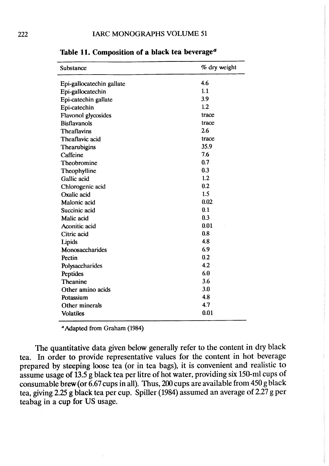| Substance                 | % dry weight |
|---------------------------|--------------|
| Epi-gallocatechin gallate | 4.6          |
| Epi-gallocatechin         | 1.1          |
| Epi-catechin gallate      | 3.9          |
| Epi-catechin              | 1.2          |
| Flavonol glycosides       | trace        |
| <b>Bisflavanols</b>       | trace        |
| <b>Theaflavins</b>        | 2.6          |
| Theaflavic acid           | trace        |
| Thearubigins              | 35.9         |
| Caffeine                  | 7.6          |
| Theobromine               | 0.7          |
| Theophylline              | 0.3          |
| Gallic acid               | 1.2          |
| Chlorogenic acid          | 0.2          |
| Oxalic acid               | 1.5          |
| Malonic acid              | 0.02         |
| Succinic acid             | 0.1          |
| Malic acid                | 0.3          |
| Aconitic acid             | 0.01         |
| Citric acid               | 0.8          |
| Lipids                    | 4.8          |
| Monosaccharides           | 6.9          |
| Pectin                    | 0.2          |
| Polysaccharides           | 4.2          |
| Peptides                  | 6.0          |
| <b>Theanine</b>           | 3.6          |
| Other amino acids         | 3.0          |
| Potassium                 | 4.8          |
| Other minerals            | 4.7          |
| <b>Volatiles</b>          | 0.01         |

Table 11. Composition of a black tea beverage $a$ 

<sup>a</sup> Adapted from Graham (1984)

The quantitative data given below generally refer to the content in dry black tea. ln order to provide representative values for the content in hot beverage prepared by steeping loose tea (or in tea bags), it is convenient and realistic to assume usage of 13.5 g black tea per litre of hot water, providing six 150-ml cups of consumable brew (or  $6.67$  cups in all). Thus, 200 cups are available from 450 g black tea, giving 2.25 g black tea per cup. Spiler (1984) assumed an average of 2.27 g per teabag in a cup for US usage.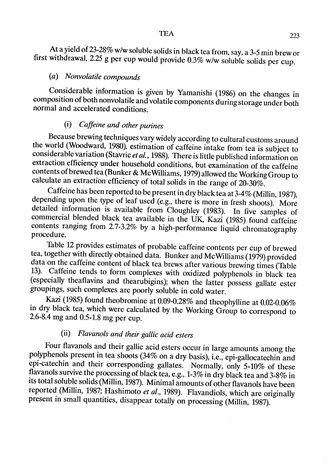At a yield of 23-28% w/w soluble solids in black tea from, say, a 3-5 min brew or first withdrawal, 2.25 g per cup would provide 0.3% w/w soluble solids per cup.

### (a) Nonvolatile eompounds

Considerable information is given by Yamanishi (1986) on the changes in composition of both nonvolatile and volatile components during storage under both normal and accelerated conditions.

## (i) Caffeine and other purines

Because brewing techniques vary widely according to cultural customs around the world (Woodward, 1980), estimation of caffeine intake from tea is subject ta considerable variation (Stavric *et al.*, 1988). There is little published information on extraction efficiency under household conditions, but examination of the caffeine contents of brewed tea (Bunker & Mc Williams, 1979) allowed the Working Group to ca1culate an extraction efficiency of total solids in the range of 20-30%.

Caffeine has been reported to be present in dry black tea at 3-4% (Millin, 1987), depending upon the type of leaf used (e.g., there is more in fresh shoots). More detailed information is available from Cloughley (1983). ln five samples of commercial blended black tea available in the UK, Kazi (1985) found caffeine contents ranging from 2.7-3.2% by a high-performance liquid chromatography procedure.

Table 12 provides estimates of probable caffeine contents per cup of brewed tea, together with directly obtained data. Bunker and Mc Wiliams (1979) provided data on the caffeine content of black tea brews after various brewing times (Table 13). Caffeine tends to form complexes with oxidized polyphenols in black tea (especially theaflavins and thearubigins); when the latter possess gallate ester groupings, such complexes are poorly soluble in cold water.

Kazi (1985) found theobromine at 0.09-0.28% and theophylline at 0.02-0.06% in dry black tea, which were calculated by the Working Group to correspond to 2.6-8.4 mg and 0.5-1.8 mg per cup.

## (ii) Flavanols and their gallic acid esters

Four flavanols and their gallic acid esters occur in large amounts among the polyphenols present in tea shoots (34% on a dry basis), I.e., epi-gallocatechin and epi-catechin and their corresponding gallates. NormalIy, only 5-10% of these flavanols survive the processing of black tea, e.g., 1-3% in dry black tea and 3-8% in its total soluble solids (Milin, 1987). Minimal amounts of other flavanols have been reported (Millin, 1987; Hashimoto et al., 1989). Flavandiols, which are originally present in small quantities, disappear totally on processing (Millin, 1987).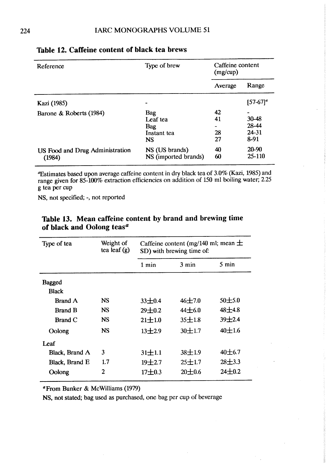| Reference                                 | Type of brew                                                     | Caffeine content     |                                 |
|-------------------------------------------|------------------------------------------------------------------|----------------------|---------------------------------|
|                                           |                                                                  | Average              | Range                           |
| Kazi (1985)                               |                                                                  |                      | $[57-67]^a$                     |
| Barone & Roberts (1984)                   | <b>Bag</b><br>Leaf tea<br><b>Bag</b><br>Instant tea<br><b>NS</b> | 42<br>41<br>28<br>27 | 30-48<br>28-44<br>24-31<br>8-91 |
| US Food and Drug Administration<br>(1984) | NS (US brands)<br>NS (imported brands)                           | 40<br>60             | $20 - 90$<br>$25 - 110$         |

#### Table 12. Caffeine content of black tea brews

~stimates basd upon average caffeine content in dry black tea of 3.0% (Kazi, 1985) and range given for 85-100% extraction efficiencies on addition of 150 ml boiling water; 2.25 g tea per cup

NS, not specified; -, not reported

| Type of tea    | Weight of<br>tea leaf $(g)$ | Caffeine content (mg/140 ml; mean $\pm$<br>SD) with brewing time of: |            |            |  |
|----------------|-----------------------------|----------------------------------------------------------------------|------------|------------|--|
|                |                             | $1$ min                                                              | 3 min      | 5 min      |  |
| <b>Bagged</b>  |                             |                                                                      |            |            |  |
| <b>Black</b>   |                             |                                                                      |            |            |  |
| <b>Brand A</b> | <b>NS</b>                   | $33 + 0.4$                                                           | $46 + 7.0$ | $50 + 5.0$ |  |
| <b>Brand B</b> | <b>NS</b>                   | $29 + 0.2$                                                           | $44\pm6.0$ | $48 + 4.8$ |  |
| <b>Brand C</b> | <b>NS</b>                   | $21 + 1.0$                                                           | $35 + 1.8$ | 39±2.4     |  |
| Oolong         | <b>NS</b>                   | $13 + 2.9$                                                           | $30 + 1.7$ | 40±1.6     |  |
| I eaf          |                             |                                                                      |            |            |  |
| Black, Brand A | 3                           | $31 \pm 1.1$                                                         | $38 + 1.9$ | $40 + 6.7$ |  |
| Black, Brand E | 1.7                         | $19 + 2.7$                                                           | $25 + 1.7$ | $28 + 3.3$ |  |
| Oolong         | $\overline{2}$              | $17 + 0.3$                                                           | $20 + 0.6$ | $24 + 0.2$ |  |

## Table 13. Mean caffeine content by brand and brewing time of black and Oolong teas $a$

aFrom Bunker & McWi1iams (1979)

NS, not stated; bag used as purchased, one bag per cup of beverage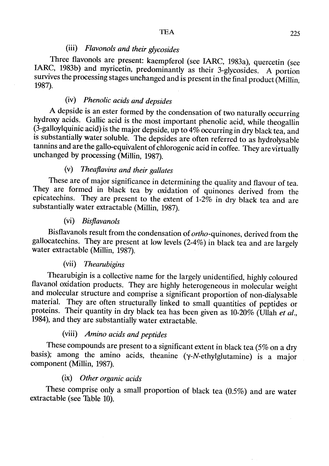## (iii) Flavonols and their glycosides

Three flavonols are present: kaempferol (see IARC, 1983a), quercetin (see IARC, 1983b) and myricetin, predominantly as their 3-glycosides. A portion survives the processing stages unchanged and is present in the final product (Milin, 1987).

## (iv) Phenolic acids and depsides

A depside is an ester formed by the condensation of two naturally occurring hydroxy acids. Gallic acid is the most important phenolic acid, while theogallin (3-galloylquinic acid) is the major depside, up to  $4\%$  occurring in dry black tea, and is substantially water soluble. The depsides are often referred to as hydrolysable tannins and are the gallo-equivalent of chlorogenic acid in coffee. They are virtually unchanged by processing (Milin, 1987).

## (v) Theaflavins and their gallates

These are of major significance in determining the quality and flavour of tea. They are formed in black tea by oxidation of quinones derived from the epicatechins. They are present to the extent of 1-2% in dry black tea and are substantially water extractable (Milin, 1987).

#### (vi) Bisflavanols

Bisflavanols result from the condensation of *ortho*-quinones, derived from the gallocatechins. They are present at low levels (2-4%) in black tea and are largely water extractable (Milin, 1987).

#### (vii) Thearubigins

Thearubigin is a collective name for the largely unidentified, highly coloured flavanol oxidation products. They are highly heterogeneous in molecular weight and molecular structure and comprise a significant proportion of non-dialysable materiaL. They are often structurally linked to small quantities of peptides or proteins. Their quantity in dry black tea has been given as 10-20% (Ullah et al., 1984), and they are substantially water extractable.

#### (viii) Amino acids and peptides

These compounds are present to a significant extent in black tea (5% on a dry basis); among the amino acids, theanine (y-N-ethylglutamine) is a major component (Millin, 1987).

#### (ix) Other organic acids

These comprise only a small proportion of black tea (0.5%) and are water extractable (see Table 10).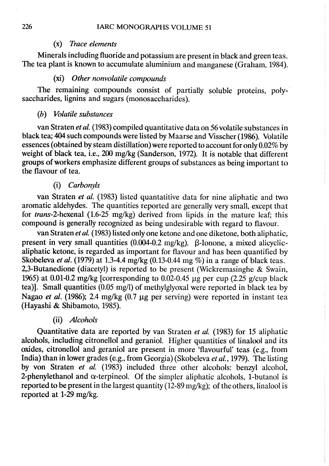#### (x) Trace elements

MineraIs including fluoride and potassium are present in black and green teas. The tea plant is known to accumulate aluminium and manganese (Graham, 1984).

#### (xi) Other nonvolatile compounds

The remaining compounds consist of partially soluble proteins, polysaccharides, lignins and sugars (monosaccharides).

#### (b) Volatile substances

van Straten et al. (1983) compiled quantitative data on 56 volatile substances in black tea; 404 such compounds were listed by Maarse and Visscher (1986). Volatile essences (obtained by steam distilation) were reported ta account for only 0.02% by weight of black tea, i.e., 200 mg/kg (Sanderson, 1972). It is notable that different groups of workers emphasize different groups of substances as being important to the flavour of tea.

#### (i) Carbonyls

van Straten et al. (1983) listed quantatitive data for nine aliphatic and two aromatic aldehydes. The quantities reported are generally very small, except that for trans-2-hexenal (1.6-25 mg/kg) derived from lipids in the mature leaf; this compound is generally recognized as being undesirable with regard to flavour.

van Straten et al. (1983) listed only one ketone and one diketone, both aliphatic, present in very small quantities  $(0.004-0.2 \text{ mg/kg})$ .  $\beta$ -Ionone, a mixed alicyclicaliphatic ketone, is regarded as important for flavour and has been quantified by Skobeleva et al. (1979) at 1.3-4.4 mg/kg (0.13-0.44 mg %) in a range of black teas. 2,3-Butanedione (diacetyl) is reported to be present (Wickremasinghe & Swain, 1965) at 0.01-0.2 mg/kg [corresponding to 0.02-0.45  $\mu$ g per cup (2.25 g/cup black tea)). Small quantities (0.05 mg/l) of methylglyoxal were reported in black tea by Nagao et al. (1986); 2.4 mg/kg  $(0.7 \mu g)$  per serving) were reported in instant tea (Hayashi & Shibamoto, 1985).

#### (ii) Alcohols

Quantitative data are reported by van Straten et al. (1983) for 15 aliphatic alcohols, including citronellol and geraniol. Higher quantities of linalool and its oxides, citronelIol and geraniol are present in more 'flavourful' teas (e.g., from India) than in lower grades (e.g., from Georgia) (Skobeleva et al., 1979). The listing by von Straten et al. (1983) included three other alcohols: benzyl alcohol, 2-phenylethanol and  $\alpha$ -terpineol. Of the simpler aliphatic alcohols, 1-butanol is reported to be present in the largest quantity (12-89 mg/kg); of the others, linalool is reported at 1-29 mg/kg.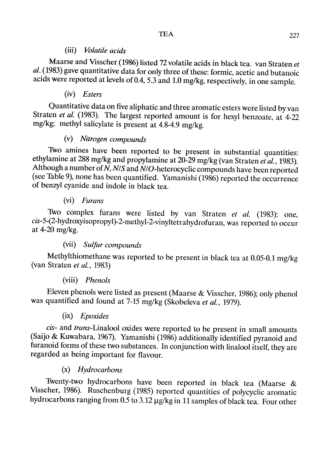#### (iii) Volatile acids

Maarse and Visscher (1986) listed 72 volatile acids in black tea. van Straten et al. (1983) gave quantitative data for only three of these: formic, acetic and butanoic acids were reported at levels of 0.4, 5.3 and 1.0 mg/kg, respectively, in one sample.

### (iv) Esters

Quantitative data on five aliphatic and three aromatic esters were listed by van Straten et al. (1983). The largest reported amount is for hexyl benzoate, at 4-22 mg/kg; methyl salicylate is present at 4.8-4.9 mg/kg.

### (v) Nitrogen compounds

Two amines have been reported to be present in substantial quantities: ethylamine at 288 mg/kg and propylamine at 20-29 mg/kg (van Straten et al., 1983). Although a number of  $\tilde{N}$ , N/S and  $\tilde{N}/O$ -heterocyclic compounds have been reported (see Table 9), none has been quantified. Yamanishi (1986) reported the occurrence of benzyl cyanide and indole in black tea.

### (vi) Furans

Two complex furans were listed by van Straten et al. (1983): one, cis-5-(2-hydroxyisopropyl)-2-methyl-2-vinyltetrahydrofuran, was reported ta occur at 4-20 mg/kg.

### (vii) Sulfur compounds

Methylthiomethane was reported to be present in black tea at 0.05-0.1 mg/kg (van Straten et al., 1983)

#### (viii) Phenols

Eleven phenols were listed as present (Maarse & Visscher, 1986); only phenol was quantified and found at 7-15 mg/kg (Skobeleva et al., 1979).

## (ix) Epoxides

cis- and trans-Linalool oxides were reported to be present in small amounts (Saijo & Kuwabara, 1967). Yamanishi (1986) additionally identified pyranoid and furanoid forms of these two substances. In conjunction with linalool itself, they are regarded as being important for flavour.

## (x) Hydrocarbons

Twenty-two hydrocarbons have been reported in black tea (Maarse & Visscher, 1986). Ruschenburg (1985) reported quantities of polycyclic aromatic hydrocarbons ranging from  $0.5$  to  $3.12 \mu$ g/kg in 11 samples of black tea. Four other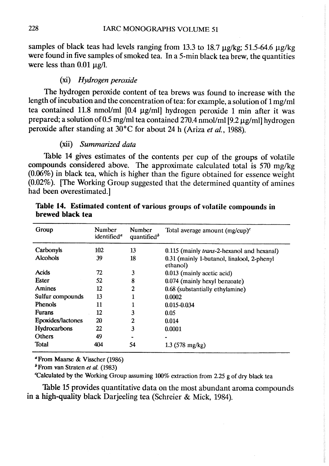samples of black teas had levels ranging from 13.3 to 18.7  $\mu$ g/kg; 51.5-64.6  $\mu$ g/kg were found in five samples of smoked tea. In a 5-min black tea brew, the quantities were less than  $0.01 \mu g/l$ .

#### (xi) Hydrogen peroxide

The hydrogen peroxide content of tea brews was found to increase with the length of incubation and the concentration of tea: for example, a solution of 1 mg/ml tea contained 11.8 nmol/ml [0.4 µg/ml] hydrogen peroxide 1 min after it was prepared; a solution of 0.5 mg/ml tea contained 270.4 nmol/ml [9.2  $\mu$ g/ml] hydrogen peroxide after standing at 30°C for about 24 h (Ariza et al., 1988).

#### (xii) Summarized data

Table 14 gives estimates of the contents per cup of the groups of volatile compounds considered above. The approximate calculated total is 570 mg/kg  $(0.06\%)$  in black tea, which is higher than the figure obtained for essence weight (0.02%). (The Working Group suggested that the determined quantity of amines had been overestimated.)

| Group             | Number<br>identified <sup>a</sup> | Number<br>quantified <sup>b</sup> | Total average amount $(mg/cup)^c$                      |
|-------------------|-----------------------------------|-----------------------------------|--------------------------------------------------------|
| Carbonyls         | 102                               | 13                                | 0.115 (mainly <i>trans</i> -2-hexanol and hexanal)     |
| <b>Alcohols</b>   | 39                                | 18                                | 0.31 (mainly 1-butanol, linalool, 2-phenyl<br>ethanol) |
| <b>Acids</b>      | 72                                | 3                                 | 0.013 (mainly acetic acid)                             |
| <b>Ester</b>      | 52                                | 8                                 | 0.074 (mainly hexyl benzoate)                          |
| Amines            | 12                                | 2                                 | 0.68 (substantially ethylamine)                        |
| Sulfur compounds  | 13                                |                                   | 0.0002                                                 |
| <b>Phenols</b>    | 11                                |                                   | $0.015 - 0.034$                                        |
| <b>Furans</b>     | 12                                | 3                                 | 0.05                                                   |
| Epoxides/lactones | 20                                | 2                                 | 0.014                                                  |
| Hydrocarbons      | 22                                | 3                                 | 0.0001                                                 |
| Others            | 49                                |                                   |                                                        |
| Total             | 404                               | 54                                | $1.3$ (578 mg/kg)                                      |

Table 14. Estimated content of various groups of volatile compounds in brewed black tea

<sup>a</sup>From Maarse & Visscher (1986)

 $<sup>b</sup>$  From van Straten *et al.* (1983)</sup>

'Calculated by the Working Group asuming 100% extraction from 2.25 g of dry black tea

Table 15 provides quantitative data on the most abundant aroma compounds in a high-quality black Darjeeling tea (Schreier & Mick, 1984).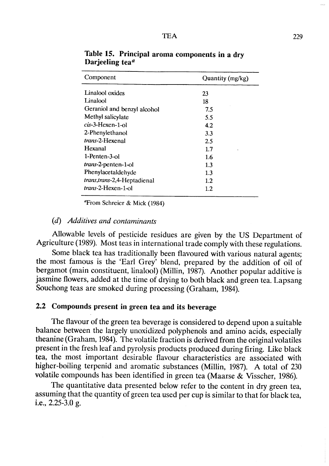| Component                     | Quantity (mg/kg) |
|-------------------------------|------------------|
| Linalool oxides               | 23               |
| Linalool                      | 18               |
| Geraniol and benzyl alcohol   | 7.5              |
| Methyl salicylate             | 5.5              |
| $cis-3$ -Hexen-1-ol           | 4.2              |
| 2-Phenylethanol               | 3.3              |
| <i>trans-2-Hexenal</i>        | 2.5              |
| Hexanal                       | 1.7              |
| $1-$ Penten $-3-$ ol          | 1.6              |
| trans-2-penten-1-ol           | 1.3              |
| Phenylacetaldehyde            | $1.3\,$          |
| trans, trans-2, 4-Heptadienal | $1.2\,$          |
| <i>trans</i> -2-Hexen-1-ol    | 1.2              |

Table 15. Principal aroma components in a dry Darjeeling tea $a$ 

"From Schreier & Mick (1984)

#### (d) Additives and contaminants

Allowable levels of pesticide residues are given by the US Department of Agriculture (1989). Most teas in international trade comply with these regulations.

Some black tea has traditionally been flavoured with various natural agents; the most famous is the 'Earl Grey' blend, prepared by the addition of oil of bergamot (main constituent, linalool) (Millin, 1987). Another popular additive is jasmine flowers, added at the time of drying to bath black and green tea. Lapsang Souchong teas are smoked during processing (Graham, 1984).

### 2.2 Compounds present in green tea and its beverage

The flavour of the green tea beverage is considered to depend upon a suitable balance between the largely unoxidized polyphenols and amino acids, especially theanine (Graham, 1984). The volatile fraction is derived from the original volatiles present in the fresh leaf and pyrolysis products produced during firing. Like black tea, the most important desirable flavour characteristics are associated with higher-boiling terpenid and aromatic substances (Milin, 1987). A total of 230 volatile compounds has been identified in green tea (Maarse & Visscher, 1986).

The quantitative data presented below refer to the content in dry green tea, assuming that the quantity of green tea used per cup is similar to that for black tea, i.e.,  $2.25-3.0$  g.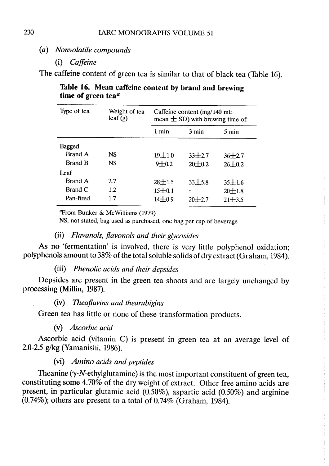(a) Nonvolatile compounds

(i) Caffeine

The caffeine content of green tea is similar to that of black tea (Table 16).

Table 16. Mean caffeine content by brand and brewing time of green tea $a$ 

| Type of tea    | Weight of tea<br>leaf(g) | Caffeine content (mg/140 ml;<br>mean $\pm$ SD) with brewing time of: |                 |                 |  |
|----------------|--------------------------|----------------------------------------------------------------------|-----------------|-----------------|--|
|                |                          | 1 min                                                                | $3 \text{ min}$ | $5 \text{ min}$ |  |
| <b>Bagged</b>  |                          |                                                                      |                 |                 |  |
| <b>Brand A</b> | <b>NS</b>                | $19 + 1.0$                                                           | $33 + 2.7$      | $36 + 2.7$      |  |
| <b>Brand B</b> | <b>NS</b>                | $9 + 0.2$                                                            | $20 + 0.2$      | $26 \pm 0.2$    |  |
| Leaf           |                          |                                                                      |                 |                 |  |
| <b>Brand A</b> | 2.7                      | $28 \pm 1.5$                                                         | $33\pm5.8$      | $35 \pm 1.6$    |  |
| <b>Brand C</b> | 1.2                      | 15±0.1                                                               |                 | $20 \pm 1.8$    |  |
| Pan-fired      | 17                       | $14 \pm 0.9$                                                         | $20 + 2.7$      | $21 + 3.5$      |  |

 $\text{Trom Bunker} \& \text{McWilliams} (1979)$ 

NS, not stated; bag used as purchased, one bag per cup of beverage

#### (ii) Flavanols, flavonols and their glycosides

As no 'fermentation' is involved, there is very little polyphenol oxidation; polyphenols amount to 38% of the total soluble solids of dry extract (Graham, 1984).

#### (ii) Phenolic acids and their depsides

Depsides are present in the green tea shoots and are largely unchanged by processing (Millin, 1987).

## (iv) Theaflavins and thearubigins

Green tea has little or none of these transformation products.

(v) Ascorbic acid

Ascorbic acid (vitamin C) is present in green tea at an average level of 2.0-2.5 g/kg (Yamanishi, 1986).

#### (vi) Amino acids and peptides

Theanine  $(\gamma$ -N-ethylglutamine) is the most important constituent of green tea, constituting some 4.70% of the dry weight of extract. Other free amino acids are present, in particular glutamic acid (0.50%), aspartic acid (0.50%) and arginine  $(0.74\%)$ ; others are present to a total of  $0.74\%$  (Graham, 1984).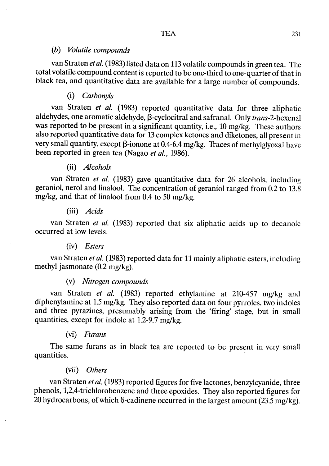#### (h) Volatile compounds

van Straten et al. (1983) listed data on 113 volatile compounds in green tea. The total volatile compound content is reported to be one-third to one-quarter of that in black tea, and quantitative data are available for a large number of compounds.

### (i) Carhonyls

van Straten et al. (1983) reported quantitative data for three aliphatic aldehydes, one aromatic aldehyde,  $\beta$ -cyclocitral and safranal. Only *trans*-2-hexenal was reported to be present in a significant quantity, i.e., 10 mg/kg. These authors also reported quantitative data for 13 complex ketones and diketones, aIl present in very small quantity, except  $\beta$ -ionone at 0.4-6.4 mg/kg. Traces of methylglyoxal have been reported in green tea (Nagao et al., 1986).

### (ii) Alcohols

van Straten et al. (1983) gave quantitative data for 26 a1cohols, including geraniol, nerol and linalool. The concentration of geraniol ranged from 0.2 to 13.8 mg/kg, and that of linalool from 0.4 to 50 mg/kg.

#### (iii) Acids

van Straten et al. (1983) reported that six aliphatic acids up to decanoic occurred at low levels.

#### (iv) Esters

van Straten et al. (1983) reported data for II mainly aliphatic esters, including methyl jasmonate (0.2 mg/kg).

#### (v) Nitrogen compounds

van Straten et al. (1983) reported ethylamine at 210-457 mg/kg and diphenylamine at 1.5 mg/kg. They also reported data on four pyrroles, two indoles and three pyrazines, presumably arising from the 'firing' stage, but in small quantities, except for indole at 1.2-9.7 mg/kg.

#### (vi) Furans

The same furans as in black tea are reported to be present in very small quantities.

#### (vii) Others

van Straten et al. (1983) reported figures for five lactones, benzylcyanide, three phenols, 1,2,4-trichlorobenzene and three epoxides. They also reported figures for 20 hydrocarbons, of which  $\delta$ -cadinene occurred in the largest amount (23.5 mg/kg).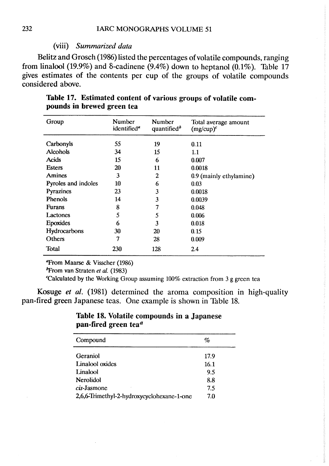#### (vii) Summarized data

Belitz and Grosch (1986) listed the percentages ofvolatile compounds, ranging from linalool (19.9%) and  $\delta$ -cadinene (9.4%) down to heptanol (0.1%). Table 17 gives estimates of the contents per cup of the groups of volatile compounds considered above.

| Group               | Number<br>identified <sup>a</sup> | Number<br>quantified <sup>b</sup> | Total average amount<br>$(mg/cup)^c$ |
|---------------------|-----------------------------------|-----------------------------------|--------------------------------------|
| Carbonyls           | 55                                | 19                                | 0.11                                 |
| Alcohols            | 34                                | 15                                | 1.1                                  |
| <b>Acids</b>        | 15                                | 6                                 | 0.007                                |
| <b>Esters</b>       | 20                                | 11                                | 0.0018                               |
| Amines              | 3                                 | 2                                 | 0.9 (mainly ethylamine)              |
| Pyroles and indoles | 10                                | 6                                 | 0.03                                 |
| Pyrazines           | 23                                | 3                                 | 0.0018                               |
| Phenols             | 14                                | 3                                 | 0.0039                               |
| <b>Furans</b>       | 8                                 | 7                                 | 0.048                                |
| Lactones            | 5                                 | 5                                 | 0.006                                |
| <b>Epoxides</b>     | 6                                 | 3                                 | 0.018                                |
| Hydrocarbons        | 30                                | 20                                | 0.15                                 |
| Others              | 7                                 | 28                                | 0.009                                |
| Total               | 230                               | 128                               | 2.4                                  |

Table 17. Estimated content of various groups of volatile compounds in brewed green tea

**Throm Maarse & Visscher (1986)** 

 $<sup>b</sup>$ From van Straten et al. (1983)</sup>

Calculated by the Working Group assuming  $100\%$  extraction from 3 g green tea

Kosuge et al. (1981) determined the aroma composition in high-quality pan-fired green Japanese teas. One example is shown in Table 18.

#### Table 18. Volatile compounds in a Japanese pan-fired green tea $a$

| %    |  |
|------|--|
| 17.9 |  |
| 16.1 |  |
| 9.5  |  |
| 8.8  |  |
| 7.5  |  |
| 7.0  |  |
|      |  |